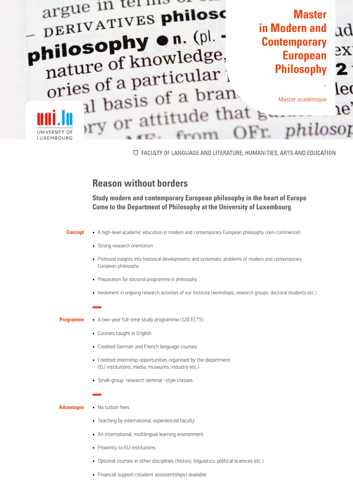

□ FACULTY OF LANGUAGE AND LITERATURE, HUMANITIES, ARTS AND EDUCATION

## **Reason without borders**

**Study modern and contemporary European philosophy in the heart of Europe Come to the Department of Philosophy at the University of Luxembourg**

## **Concept**  • A high-level academic education in modern and contemporary European philosophy (non-continental)

- Strong research orientation
- Profound insights into historical developments and systematic problems of modern and contemporary European philosophy
- Preparation for doctoral programme in philosophy
- • Involvment in ongoing research activities of our Institute (workshops, research groups, doctoral students etc.)
- A two-year full-time study programme (120 ECTS) **Programme**
	- Courses taught in English
	- • Credited German and French language courses
	- Credited internship opportunities organised by the department (EU institutions, media, museums, industry etc.)
	- Small-group 'research seminar'-style classes

## **Advantages**

- No tuition fees
	- Teaching by international, experienced faculty
	- An international, multilingual learning environment
	- Proximity to EU institutions
	- Optional courses in other disciplines (history, linguistics, political sciences etc.)
	- Financial support (student assistentships) available